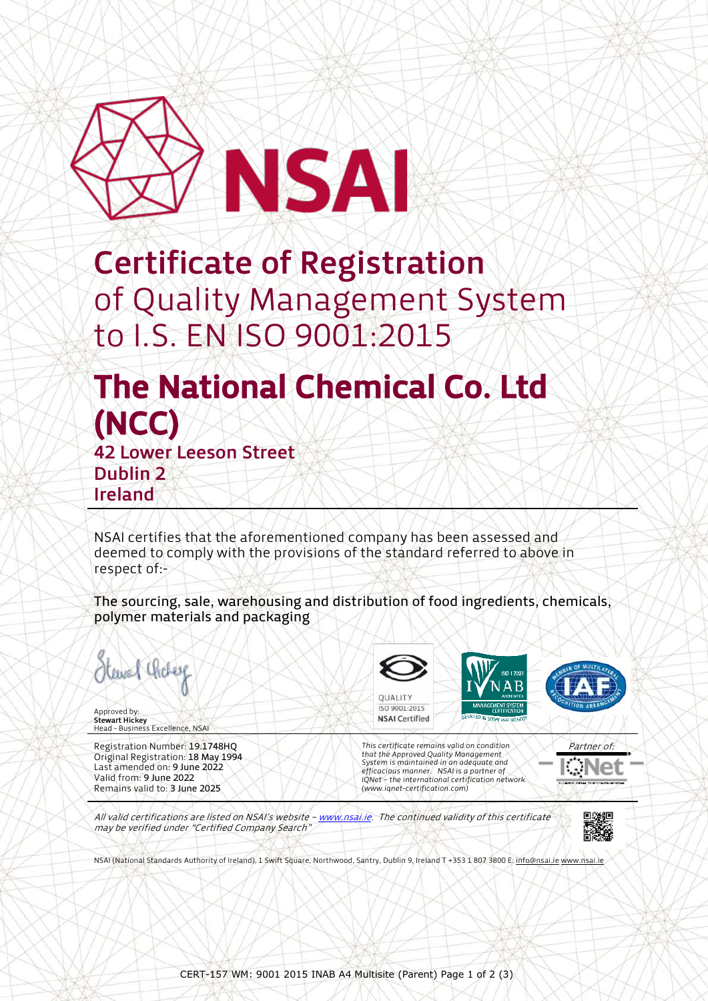

Certificate of Registration of Quality Management System to I.S. EN ISO 9001:2015

## The National Chemical Co. Ltd (NCC) 42 Lower Leeson Street

Dublin 2 Ireland

NSAI certifies that the aforementioned company has been assessed and deemed to comply with the provisions of the standard referred to above in respect of:-

The sourcing, sale, warehousing and distribution of food ingredients, chemicals, polymer materials and packaging

Hewal Choley

Approved by: **Stewart Hickey**<br>Head - Business Excellence, NSAI

Registration Number: 19.1748HQ Original Registration: 18 May 1994 Last amended on: 9 June 2022 Valid from: 9 June 2022 Remains valid to: 3 June 2025

**QUALITY** ISO 9001:2015 **NSAI Certified** 

*This certificate remains valid on condition that the Approved Quality Management System is maintained in an adequate and efficacious manner. NSAI is a partner of IQNet – the international certification network (www.iqnet-certification.com)*



All valid certifications are listed on NSAI's website - www.nsai.ie. The continued validity of this certificate may be verified under "Certified Company Search"



NSAI (National Standards Authority of Ireland), 1 Swift Square, Northwood, Santry, Dublin 9, Ireland T +353 1 807 3800 E[: info@nsai.ie](mailto:info@nsai.ie) [www.nsai.ie](http://www.nsai.ie/)